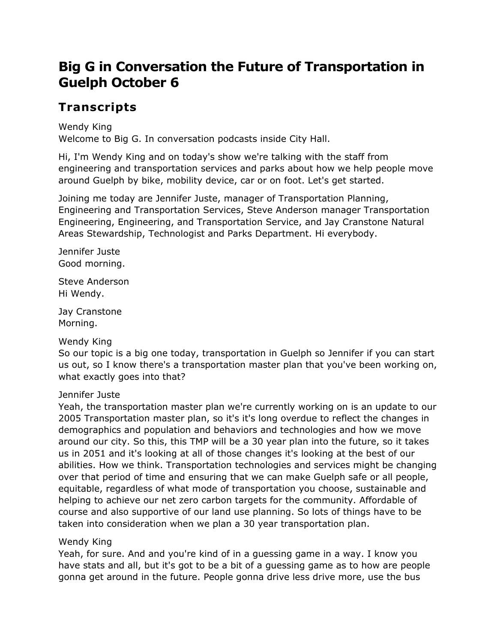# **Big G in Conversation the Future of Transportation in Guelph October 6**

# **Transcripts**

Wendy King Welcome to Big G. In conversation podcasts inside City Hall.

Hi, I'm Wendy King and on today's show we're talking with the staff from engineering and transportation services and parks about how we help people move around Guelph by bike, mobility device, car or on foot. Let's get started.

Joining me today are Jennifer Juste, manager of Transportation Planning, Engineering and Transportation Services, Steve Anderson manager Transportation Engineering, Engineering, and Transportation Service, and Jay Cranstone Natural Areas Stewardship, Technologist and Parks Department. Hi everybody.

Jennifer Juste Good morning.

Steve Anderson Hi Wendy.

Jay Cranstone Morning.

Wendy King

So our topic is a big one today, transportation in Guelph so Jennifer if you can start us out, so I know there's a transportation master plan that you've been working on, what exactly goes into that?

# Jennifer Juste

Yeah, the transportation master plan we're currently working on is an update to our 2005 Transportation master plan, so it's it's long overdue to reflect the changes in demographics and population and behaviors and technologies and how we move around our city. So this, this TMP will be a 30 year plan into the future, so it takes us in 2051 and it's looking at all of those changes it's looking at the best of our abilities. How we think. Transportation technologies and services might be changing over that period of time and ensuring that we can make Guelph safe or all people, equitable, regardless of what mode of transportation you choose, sustainable and helping to achieve our net zero carbon targets for the community. Affordable of course and also supportive of our land use planning. So lots of things have to be taken into consideration when we plan a 30 year transportation plan.

# Wendy King

Yeah, for sure. And and you're kind of in a guessing game in a way. I know you have stats and all, but it's got to be a bit of a guessing game as to how are people gonna get around in the future. People gonna drive less drive more, use the bus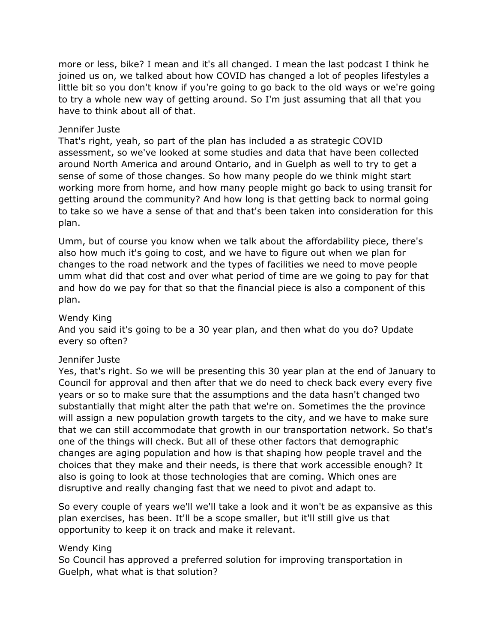more or less, bike? I mean and it's all changed. I mean the last podcast I think he joined us on, we talked about how COVID has changed a lot of peoples lifestyles a little bit so you don't know if you're going to go back to the old ways or we're going to try a whole new way of getting around. So I'm just assuming that all that you have to think about all of that.

### Jennifer Juste

That's right, yeah, so part of the plan has included a as strategic COVID assessment, so we've looked at some studies and data that have been collected around North America and around Ontario, and in Guelph as well to try to get a sense of some of those changes. So how many people do we think might start working more from home, and how many people might go back to using transit for getting around the community? And how long is that getting back to normal going to take so we have a sense of that and that's been taken into consideration for this plan.

Umm, but of course you know when we talk about the affordability piece, there's also how much it's going to cost, and we have to figure out when we plan for changes to the road network and the types of facilities we need to move people umm what did that cost and over what period of time are we going to pay for that and how do we pay for that so that the financial piece is also a component of this plan.

### Wendy King

And you said it's going to be a 30 year plan, and then what do you do? Update every so often?

# Jennifer Juste

Yes, that's right. So we will be presenting this 30 year plan at the end of January to Council for approval and then after that we do need to check back every every five years or so to make sure that the assumptions and the data hasn't changed two substantially that might alter the path that we're on. Sometimes the the province will assign a new population growth targets to the city, and we have to make sure that we can still accommodate that growth in our transportation network. So that's one of the things will check. But all of these other factors that demographic changes are aging population and how is that shaping how people travel and the choices that they make and their needs, is there that work accessible enough? It also is going to look at those technologies that are coming. Which ones are disruptive and really changing fast that we need to pivot and adapt to.

So every couple of years we'll we'll take a look and it won't be as expansive as this plan exercises, has been. It'll be a scope smaller, but it'll still give us that opportunity to keep it on track and make it relevant.

# Wendy King

So Council has approved a preferred solution for improving transportation in Guelph, what what is that solution?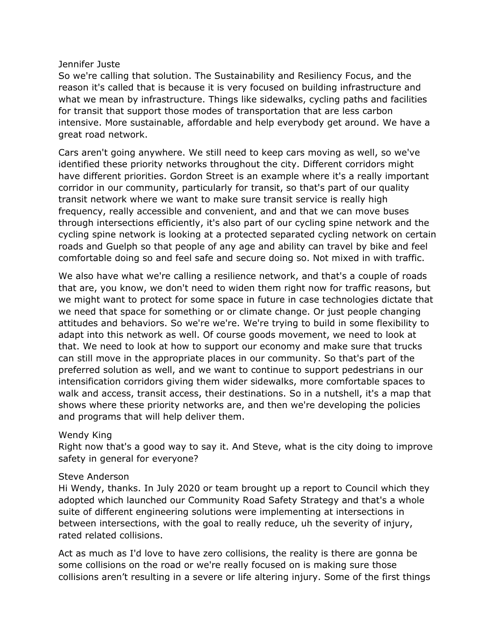#### Jennifer Juste

So we're calling that solution. The Sustainability and Resiliency Focus, and the reason it's called that is because it is very focused on building infrastructure and what we mean by infrastructure. Things like sidewalks, cycling paths and facilities for transit that support those modes of transportation that are less carbon intensive. More sustainable, affordable and help everybody get around. We have a great road network.

Cars aren't going anywhere. We still need to keep cars moving as well, so we've identified these priority networks throughout the city. Different corridors might have different priorities. Gordon Street is an example where it's a really important corridor in our community, particularly for transit, so that's part of our quality transit network where we want to make sure transit service is really high frequency, really accessible and convenient, and and that we can move buses through intersections efficiently, it's also part of our cycling spine network and the cycling spine network is looking at a protected separated cycling network on certain roads and Guelph so that people of any age and ability can travel by bike and feel comfortable doing so and feel safe and secure doing so. Not mixed in with traffic.

We also have what we're calling a resilience network, and that's a couple of roads that are, you know, we don't need to widen them right now for traffic reasons, but we might want to protect for some space in future in case technologies dictate that we need that space for something or or climate change. Or just people changing attitudes and behaviors. So we're we're. We're trying to build in some flexibility to adapt into this network as well. Of course goods movement, we need to look at that. We need to look at how to support our economy and make sure that trucks can still move in the appropriate places in our community. So that's part of the preferred solution as well, and we want to continue to support pedestrians in our intensification corridors giving them wider sidewalks, more comfortable spaces to walk and access, transit access, their destinations. So in a nutshell, it's a map that shows where these priority networks are, and then we're developing the policies and programs that will help deliver them.

# Wendy King

Right now that's a good way to say it. And Steve, what is the city doing to improve safety in general for everyone?

#### Steve Anderson

Hi Wendy, thanks. In July 2020 or team brought up a report to Council which they adopted which launched our Community Road Safety Strategy and that's a whole suite of different engineering solutions were implementing at intersections in between intersections, with the goal to really reduce, uh the severity of injury, rated related collisions.

Act as much as I'd love to have zero collisions, the reality is there are gonna be some collisions on the road or we're really focused on is making sure those collisions aren't resulting in a severe or life altering injury. Some of the first things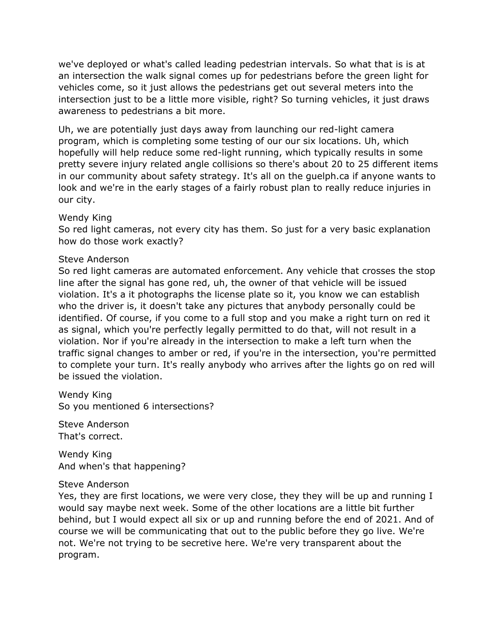we've deployed or what's called leading pedestrian intervals. So what that is is at an intersection the walk signal comes up for pedestrians before the green light for vehicles come, so it just allows the pedestrians get out several meters into the intersection just to be a little more visible, right? So turning vehicles, it just draws awareness to pedestrians a bit more.

Uh, we are potentially just days away from launching our red-light camera program, which is completing some testing of our our six locations. Uh, which hopefully will help reduce some red-light running, which typically results in some pretty severe injury related angle collisions so there's about 20 to 25 different items in our community about safety strategy. It's all on the guelph.ca if anyone wants to look and we're in the early stages of a fairly robust plan to really reduce injuries in our city.

#### Wendy King

So red light cameras, not every city has them. So just for a very basic explanation how do those work exactly?

#### Steve Anderson

So red light cameras are automated enforcement. Any vehicle that crosses the stop line after the signal has gone red, uh, the owner of that vehicle will be issued violation. It's a it photographs the license plate so it, you know we can establish who the driver is, it doesn't take any pictures that anybody personally could be identified. Of course, if you come to a full stop and you make a right turn on red it as signal, which you're perfectly legally permitted to do that, will not result in a violation. Nor if you're already in the intersection to make a left turn when the traffic signal changes to amber or red, if you're in the intersection, you're permitted to complete your turn. It's really anybody who arrives after the lights go on red will be issued the violation.

Wendy King So you mentioned 6 intersections?

Steve Anderson That's correct.

Wendy King And when's that happening?

#### Steve Anderson

Yes, they are first locations, we were very close, they they will be up and running I would say maybe next week. Some of the other locations are a little bit further behind, but I would expect all six or up and running before the end of 2021. And of course we will be communicating that out to the public before they go live. We're not. We're not trying to be secretive here. We're very transparent about the program.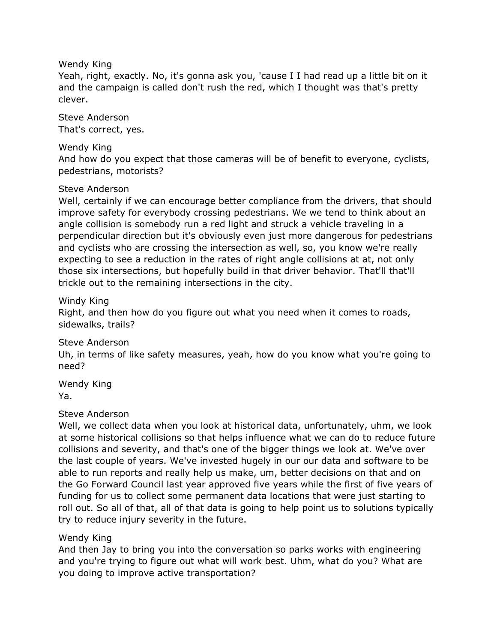### Wendy King

Yeah, right, exactly. No, it's gonna ask you, 'cause I I had read up a little bit on it and the campaign is called don't rush the red, which I thought was that's pretty clever.

Steve Anderson That's correct, yes.

### Wendy King

And how do you expect that those cameras will be of benefit to everyone, cyclists, pedestrians, motorists?

# Steve Anderson

Well, certainly if we can encourage better compliance from the drivers, that should improve safety for everybody crossing pedestrians. We we tend to think about an angle collision is somebody run a red light and struck a vehicle traveling in a perpendicular direction but it's obviously even just more dangerous for pedestrians and cyclists who are crossing the intersection as well, so, you know we're really expecting to see a reduction in the rates of right angle collisions at at, not only those six intersections, but hopefully build in that driver behavior. That'll that'll trickle out to the remaining intersections in the city.

#### Windy King

Right, and then how do you figure out what you need when it comes to roads, sidewalks, trails?

# Steve Anderson

Uh, in terms of like safety measures, yeah, how do you know what you're going to need?

Wendy King Ya.

# Steve Anderson

Well, we collect data when you look at historical data, unfortunately, uhm, we look at some historical collisions so that helps influence what we can do to reduce future collisions and severity, and that's one of the bigger things we look at. We've over the last couple of years. We've invested hugely in our our data and software to be able to run reports and really help us make, um, better decisions on that and on the Go Forward Council last year approved five years while the first of five years of funding for us to collect some permanent data locations that were just starting to roll out. So all of that, all of that data is going to help point us to solutions typically try to reduce injury severity in the future.

# Wendy King

And then Jay to bring you into the conversation so parks works with engineering and you're trying to figure out what will work best. Uhm, what do you? What are you doing to improve active transportation?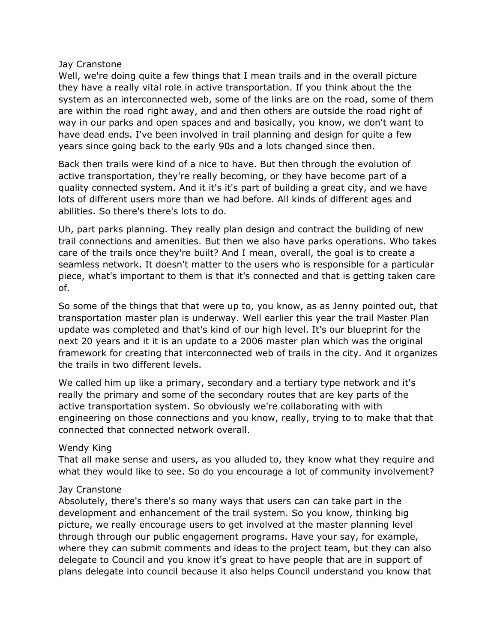#### Jay Cranstone

Well, we're doing quite a few things that I mean trails and in the overall picture they have a really vital role in active transportation. If you think about the the system as an interconnected web, some of the links are on the road, some of them are within the road right away, and and then others are outside the road right of way in our parks and open spaces and and basically, you know, we don't want to have dead ends. I've been involved in trail planning and design for quite a few years since going back to the early 90s and a lots changed since then.

Back then trails were kind of a nice to have. But then through the evolution of active transportation, they're really becoming, or they have become part of a quality connected system. And it it's it's part of building a great city, and we have lots of different users more than we had before. All kinds of different ages and abilities. So there's there's lots to do.

Uh, part parks planning. They really plan design and contract the building of new trail connections and amenities. But then we also have parks operations. Who takes care of the trails once they're built? And I mean, overall, the goal is to create a seamless network. It doesn't matter to the users who is responsible for a particular piece, what's important to them is that it's connected and that is getting taken care of.

So some of the things that that were up to, you know, as as Jenny pointed out, that transportation master plan is underway. Well earlier this year the trail Master Plan update was completed and that's kind of our high level. It's our blueprint for the next 20 years and it it is an update to a 2006 master plan which was the original framework for creating that interconnected web of trails in the city. And it organizes the trails in two different levels.

We called him up like a primary, secondary and a tertiary type network and it's really the primary and some of the secondary routes that are key parts of the active transportation system. So obviously we're collaborating with with engineering on those connections and you know, really, trying to to make that that connected that connected network overall.

#### Wendy King

That all make sense and users, as you alluded to, they know what they require and what they would like to see. So do you encourage a lot of community involvement?

#### Jay Cranstone

Absolutely, there's there's so many ways that users can can take part in the development and enhancement of the trail system. So you know, thinking big picture, we really encourage users to get involved at the master planning level through through our public engagement programs. Have your say, for example, where they can submit comments and ideas to the project team, but they can also delegate to Council and you know it's great to have people that are in support of plans delegate into council because it also helps Council understand you know that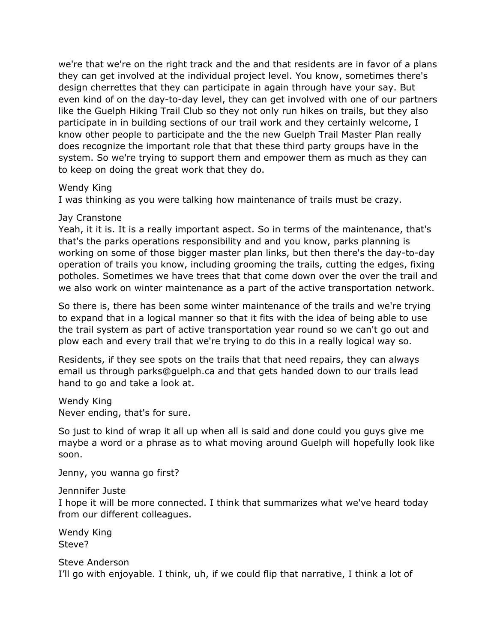we're that we're on the right track and the and that residents are in favor of a plans they can get involved at the individual project level. You know, sometimes there's design cherrettes that they can participate in again through have your say. But even kind of on the day-to-day level, they can get involved with one of our partners like the Guelph Hiking Trail Club so they not only run hikes on trails, but they also participate in in building sections of our trail work and they certainly welcome, I know other people to participate and the the new Guelph Trail Master Plan really does recognize the important role that that these third party groups have in the system. So we're trying to support them and empower them as much as they can to keep on doing the great work that they do.

#### Wendy King

I was thinking as you were talking how maintenance of trails must be crazy.

#### Jay Cranstone

Yeah, it it is. It is a really important aspect. So in terms of the maintenance, that's that's the parks operations responsibility and and you know, parks planning is working on some of those bigger master plan links, but then there's the day-to-day operation of trails you know, including grooming the trails, cutting the edges, fixing potholes. Sometimes we have trees that that come down over the over the trail and we also work on winter maintenance as a part of the active transportation network.

So there is, there has been some winter maintenance of the trails and we're trying to expand that in a logical manner so that it fits with the idea of being able to use the trail system as part of active transportation year round so we can't go out and plow each and every trail that we're trying to do this in a really logical way so.

Residents, if they see spots on the trails that that need repairs, they can always email us through parks@guelph.ca and that gets handed down to our trails lead hand to go and take a look at.

#### Wendy King

Never ending, that's for sure.

So just to kind of wrap it all up when all is said and done could you guys give me maybe a word or a phrase as to what moving around Guelph will hopefully look like soon.

Jenny, you wanna go first?

#### Jennnifer Juste

I hope it will be more connected. I think that summarizes what we've heard today from our different colleagues.

Wendy King Steve?

Steve Anderson I'll go with enjoyable. I think, uh, if we could flip that narrative, I think a lot of